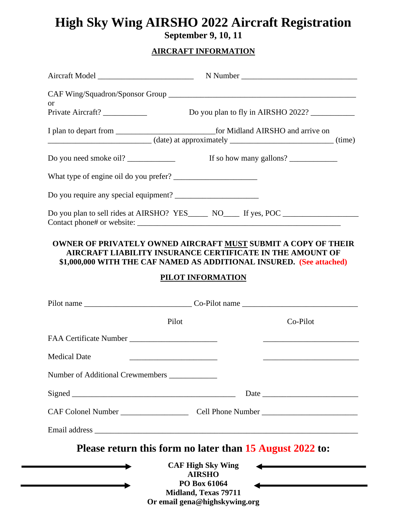## **High Sky Wing AIRSHO 2022 Aircraft Registration September 9, 10, 11**

## **AIRCRAFT INFORMATION**

| <b>or</b>                                     |                                                                                                                                                                                                           |
|-----------------------------------------------|-----------------------------------------------------------------------------------------------------------------------------------------------------------------------------------------------------------|
|                                               |                                                                                                                                                                                                           |
|                                               |                                                                                                                                                                                                           |
|                                               |                                                                                                                                                                                                           |
|                                               |                                                                                                                                                                                                           |
|                                               |                                                                                                                                                                                                           |
|                                               | OWNER OF PRIVATELY OWNED AIRCRAFT MUST SUBMIT A COPY OF THEIR<br><b>AIRCRAFT LIABILITY INSURANCE CERTIFICATE IN THE AMOUNT OF</b><br>\$1,000,000 WITH THE CAF NAMED AS ADDITIONAL INSURED. (See attached) |
|                                               | PILOT INFORMATION                                                                                                                                                                                         |
|                                               |                                                                                                                                                                                                           |
|                                               |                                                                                                                                                                                                           |
| Pilot                                         | Co-Pilot                                                                                                                                                                                                  |
|                                               |                                                                                                                                                                                                           |
| <b>Medical Date</b>                           |                                                                                                                                                                                                           |
| Number of Additional Crewmembers ____________ |                                                                                                                                                                                                           |
|                                               |                                                                                                                                                                                                           |
|                                               |                                                                                                                                                                                                           |
|                                               |                                                                                                                                                                                                           |
|                                               | Please return this form no later than 15 August 2022 to:                                                                                                                                                  |